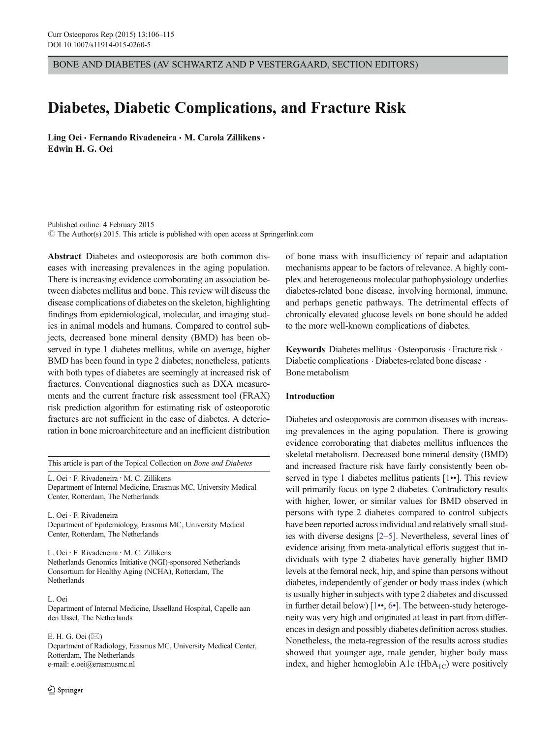BONE AND DIABETES (AV SCHWARTZ AND P VESTERGAARD, SECTION EDITORS)

# Diabetes, Diabetic Complications, and Fracture Risk

Ling Oei · Fernando Rivadeneira · M. Carola Zillikens · Edwin H. G. Oei

Published online: 4 February 2015  $\odot$  The Author(s) 2015. This article is published with open access at Springerlink.com

Abstract Diabetes and osteoporosis are both common diseases with increasing prevalences in the aging population. There is increasing evidence corroborating an association between diabetes mellitus and bone. This review will discuss the disease complications of diabetes on the skeleton, highlighting findings from epidemiological, molecular, and imaging studies in animal models and humans. Compared to control subjects, decreased bone mineral density (BMD) has been observed in type 1 diabetes mellitus, while on average, higher BMD has been found in type 2 diabetes; nonetheless, patients with both types of diabetes are seemingly at increased risk of fractures. Conventional diagnostics such as DXA measurements and the current fracture risk assessment tool (FRAX) risk prediction algorithm for estimating risk of osteoporotic fractures are not sufficient in the case of diabetes. A deterioration in bone microarchitecture and an inefficient distribution

This article is part of the Topical Collection on Bone and Diabetes

L. Oei : F. Rivadeneira : M. C. Zillikens Department of Internal Medicine, Erasmus MC, University Medical Center, Rotterdam, The Netherlands

L. Oei : F. Rivadeneira Department of Epidemiology, Erasmus MC, University Medical Center, Rotterdam, The Netherlands

L. Oei : F. Rivadeneira : M. C. Zillikens Netherlands Genomics Initiative (NGI)-sponsored Netherlands Consortium for Healthy Aging (NCHA), Rotterdam, The Netherlands

L. Oei

Department of Internal Medicine, IJsselland Hospital, Capelle aan den IJssel, The Netherlands

E. H. G. Oei $(\boxtimes)$ Department of Radiology, Erasmus MC, University Medical Center, Rotterdam, The Netherlands e-mail: e.oei@erasmusmc.nl

of bone mass with insufficiency of repair and adaptation mechanisms appear to be factors of relevance. A highly complex and heterogeneous molecular pathophysiology underlies diabetes-related bone disease, involving hormonal, immune, and perhaps genetic pathways. The detrimental effects of chronically elevated glucose levels on bone should be added to the more well-known complications of diabetes.

Keywords Diabetes mellitus · Osteoporosis · Fracture risk · Diabetic complications  $\cdot$  Diabetes-related bone disease  $\cdot$ Bone metabolism

# Introduction

Diabetes and osteoporosis are common diseases with increasing prevalences in the aging population. There is growing evidence corroborating that diabetes mellitus influences the skeletal metabolism. Decreased bone mineral density (BMD) and increased fracture risk have fairly consistently been ob-served in type 1 diabetes mellitus patients [\[1](#page-5-0)••]. This review will primarily focus on type 2 diabetes. Contradictory results with higher, lower, or similar values for BMD observed in persons with type 2 diabetes compared to control subjects have been reported across individual and relatively small studies with diverse designs [\[2](#page-5-0)–[5\]](#page-6-0). Nevertheless, several lines of evidence arising from meta-analytical efforts suggest that individuals with type 2 diabetes have generally higher BMD levels at the femoral neck, hip, and spine than persons without diabetes, independently of gender or body mass index (which is usually higher in subjects with type 2 diabetes and discussed in further detail below) [[1](#page-5-0)••, [6](#page-6-0)•]. The between-study heterogeneity was very high and originated at least in part from differences in design and possibly diabetes definition across studies. Nonetheless, the meta-regression of the results across studies showed that younger age, male gender, higher body mass index, and higher hemoglobin A1c ( $HbA_{1C}$ ) were positively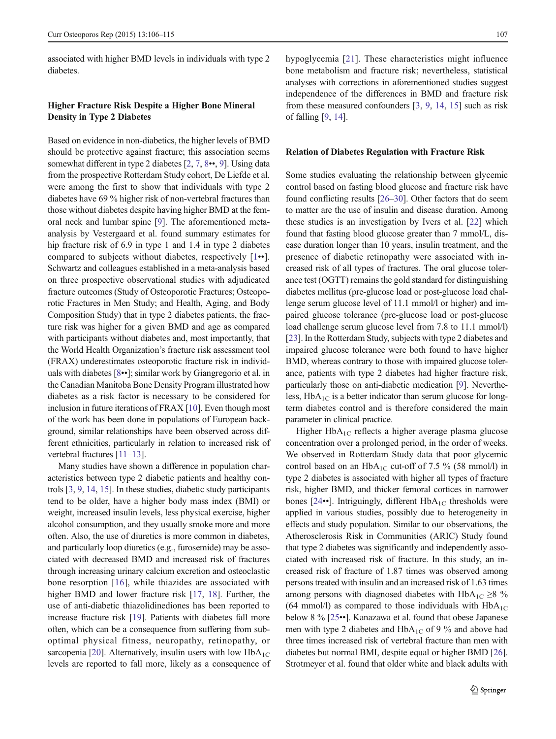associated with higher BMD levels in individuals with type 2 diabetes.

# Higher Fracture Risk Despite a Higher Bone Mineral Density in Type 2 Diabetes

Based on evidence in non-diabetics, the higher levels of BMD should be protective against fracture; this association seems somewhat different in type 2 diabetes [\[2,](#page-5-0) [7](#page-6-0), [8](#page-6-0)••, [9\]](#page-6-0). Using data from the prospective Rotterdam Study cohort, De Liefde et al. were among the first to show that individuals with type 2 diabetes have 69 % higher risk of non-vertebral fractures than those without diabetes despite having higher BMD at the femoral neck and lumbar spine [[9\]](#page-6-0). The aforementioned metaanalysis by Vestergaard et al. found summary estimates for hip fracture risk of 6.9 in type 1 and 1.4 in type 2 diabetes compared to subjects without diabetes, respectively [\[1](#page-5-0)••]. Schwartz and colleagues established in a meta-analysis based on three prospective observational studies with adjudicated fracture outcomes (Study of Osteoporotic Fractures; Osteoporotic Fractures in Men Study; and Health, Aging, and Body Composition Study) that in type 2 diabetes patients, the fracture risk was higher for a given BMD and age as compared with participants without diabetes and, most importantly, that the World Health Organization's fracture risk assessment tool (FRAX) underestimates osteoporotic fracture risk in individuals with diabetes [\[8](#page-6-0)••]; similar work by Giangregorio et al. in the Canadian Manitoba Bone Density Program illustrated how diabetes as a risk factor is necessary to be considered for inclusion in future iterations of FRAX [[10\]](#page-6-0). Even though most of the work has been done in populations of European background, similar relationships have been observed across different ethnicities, particularly in relation to increased risk of vertebral fractures [\[11](#page-6-0)–[13](#page-6-0)].

Many studies have shown a difference in population characteristics between type 2 diabetic patients and healthy controls [\[3](#page-5-0), [9,](#page-6-0) [14](#page-6-0), [15\]](#page-6-0). In these studies, diabetic study participants tend to be older, have a higher body mass index (BMI) or weight, increased insulin levels, less physical exercise, higher alcohol consumption, and they usually smoke more and more often. Also, the use of diuretics is more common in diabetes, and particularly loop diuretics (e.g., furosemide) may be associated with decreased BMD and increased risk of fractures through increasing urinary calcium excretion and osteoclastic bone resorption [[16](#page-6-0)], while thiazides are associated with higher BMD and lower fracture risk [[17,](#page-6-0) [18\]](#page-6-0). Further, the use of anti-diabetic thiazolidinediones has been reported to increase fracture risk [[19\]](#page-6-0). Patients with diabetes fall more often, which can be a consequence from suffering from suboptimal physical fitness, neuropathy, retinopathy, or sarcopenia [\[20](#page-6-0)]. Alternatively, insulin users with low  $HbA_{1C}$ levels are reported to fall more, likely as a consequence of hypoglycemia [\[21\]](#page-6-0). These characteristics might influence bone metabolism and fracture risk; nevertheless, statistical analyses with corrections in aforementioned studies suggest independence of the differences in BMD and fracture risk from these measured confounders [\[3](#page-5-0), [9,](#page-6-0) [14](#page-6-0), [15](#page-6-0)] such as risk of falling [[9](#page-6-0), [14](#page-6-0)].

## Relation of Diabetes Regulation with Fracture Risk

Some studies evaluating the relationship between glycemic control based on fasting blood glucose and fracture risk have found conflicting results [\[26](#page-6-0)–[30\]](#page-6-0). Other factors that do seem to matter are the use of insulin and disease duration. Among these studies is an investigation by Ivers et al. [\[22](#page-6-0)] which found that fasting blood glucose greater than 7 mmol/L, disease duration longer than 10 years, insulin treatment, and the presence of diabetic retinopathy were associated with increased risk of all types of fractures. The oral glucose tolerance test (OGTT) remains the gold standard for distinguishing diabetes mellitus (pre-glucose load or post-glucose load challenge serum glucose level of 11.1 mmol/l or higher) and impaired glucose tolerance (pre-glucose load or post-glucose load challenge serum glucose level from 7.8 to 11.1 mmol/l) [\[23](#page-6-0)]. In the Rotterdam Study, subjects with type 2 diabetes and impaired glucose tolerance were both found to have higher BMD, whereas contrary to those with impaired glucose tolerance, patients with type 2 diabetes had higher fracture risk, particularly those on anti-diabetic medication [[9\]](#page-6-0). Nevertheless,  $HbA_{1C}$  is a better indicator than serum glucose for longterm diabetes control and is therefore considered the main parameter in clinical practice.

Higher  $HbA_{1C}$  reflects a higher average plasma glucose concentration over a prolonged period, in the order of weeks. We observed in Rotterdam Study data that poor glycemic control based on an  $HbA_{1C}$  cut-off of 7.5 % (58 mmol/l) in type 2 diabetes is associated with higher all types of fracture risk, higher BMD, and thicker femoral cortices in narrower bones [[24](#page-6-0)••]. Intriguingly, different  $HbA_{1C}$  thresholds were applied in various studies, possibly due to heterogeneity in effects and study population. Similar to our observations, the Atherosclerosis Risk in Communities (ARIC) Study found that type 2 diabetes was significantly and independently associated with increased risk of fracture. In this study, an increased risk of fracture of 1.87 times was observed among persons treated with insulin and an increased risk of 1.63 times among persons with diagnosed diabetes with  $HbA_{1C} \ge 8 \%$ (64 mmol/l) as compared to those individuals with  $HbA_{1C}$ below 8 % [[25](#page-6-0)••]. Kanazawa et al. found that obese Japanese men with type 2 diabetes and  $HbA_{1C}$  of 9 % and above had three times increased risk of vertebral fracture than men with diabetes but normal BMI, despite equal or higher BMD [[26\]](#page-6-0). Strotmeyer et al. found that older white and black adults with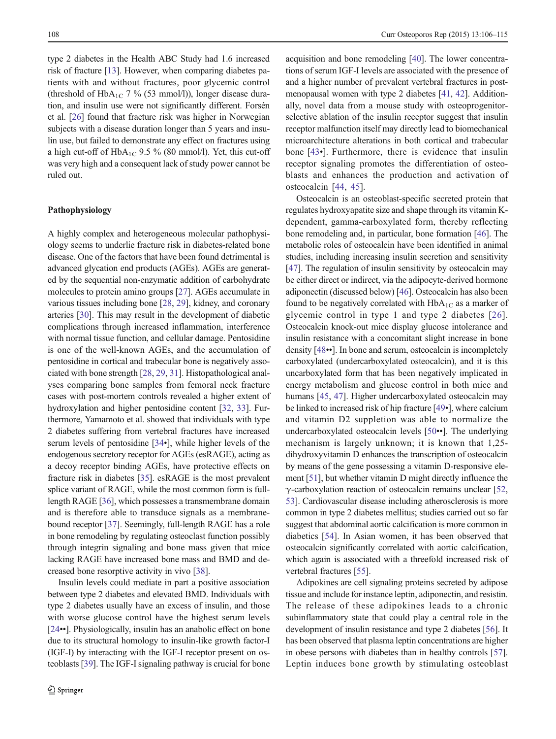type 2 diabetes in the Health ABC Study had 1.6 increased risk of fracture [\[13\]](#page-6-0). However, when comparing diabetes patients with and without fractures, poor glycemic control (threshold of HbA<sub>1C</sub> 7 % (53 mmol/l)), longer disease duration, and insulin use were not significantly different. Forsén et al. [\[26\]](#page-6-0) found that fracture risk was higher in Norwegian subjects with a disease duration longer than 5 years and insulin use, but failed to demonstrate any effect on fractures using a high cut-off of  $HbA_{1C}$  9.5 % (80 mmol/l). Yet, this cut-off was very high and a consequent lack of study power cannot be ruled out.

## Pathophysiology

A highly complex and heterogeneous molecular pathophysiology seems to underlie fracture risk in diabetes-related bone disease. One of the factors that have been found detrimental is advanced glycation end products (AGEs). AGEs are generated by the sequential non-enzymatic addition of carbohydrate molecules to protein amino groups [\[27\]](#page-6-0). AGEs accumulate in various tissues including bone [\[28](#page-6-0), [29\]](#page-6-0), kidney, and coronary arteries [\[30](#page-6-0)]. This may result in the development of diabetic complications through increased inflammation, interference with normal tissue function, and cellular damage. Pentosidine is one of the well-known AGEs, and the accumulation of pentosidine in cortical and trabecular bone is negatively associated with bone strength [[28,](#page-6-0) [29](#page-6-0), [31](#page-6-0)]. Histopathological analyses comparing bone samples from femoral neck fracture cases with post-mortem controls revealed a higher extent of hydroxylation and higher pentosidine content [\[32,](#page-6-0) [33\]](#page-6-0). Furthermore, Yamamoto et al. showed that individuals with type 2 diabetes suffering from vertebral fractures have increased serum levels of pentosidine [[34](#page-6-0)•], while higher levels of the endogenous secretory receptor for AGEs (esRAGE), acting as a decoy receptor binding AGEs, have protective effects on fracture risk in diabetes [\[35\]](#page-6-0). esRAGE is the most prevalent splice variant of RAGE, while the most common form is fulllength RAGE [\[36](#page-7-0)], which possesses a transmembrane domain and is therefore able to transduce signals as a membranebound receptor [\[37](#page-7-0)]. Seemingly, full-length RAGE has a role in bone remodeling by regulating osteoclast function possibly through integrin signaling and bone mass given that mice lacking RAGE have increased bone mass and BMD and decreased bone resorptive activity in vivo [\[38\]](#page-7-0).

Insulin levels could mediate in part a positive association between type 2 diabetes and elevated BMD. Individuals with type 2 diabetes usually have an excess of insulin, and those with worse glucose control have the highest serum levels [\[24](#page-6-0)••]. Physiologically, insulin has an anabolic effect on bone due to its structural homology to insulin-like growth factor-I (IGF-I) by interacting with the IGF-I receptor present on osteoblasts [[39\]](#page-7-0). The IGF-I signaling pathway is crucial for bone

acquisition and bone remodeling [\[40](#page-7-0)]. The lower concentrations of serum IGF-I levels are associated with the presence of and a higher number of prevalent vertebral fractures in postmenopausal women with type 2 diabetes [\[41,](#page-7-0) [42\]](#page-7-0). Additionally, novel data from a mouse study with osteoprogenitorselective ablation of the insulin receptor suggest that insulin receptor malfunction itself may directly lead to biomechanical microarchitecture alterations in both cortical and trabecular bone [[43](#page-7-0)•]. Furthermore, there is evidence that insulin receptor signaling promotes the differentiation of osteoblasts and enhances the production and activation of osteocalcin [[44](#page-7-0), [45\]](#page-7-0).

Osteocalcin is an osteoblast-specific secreted protein that regulates hydroxyapatite size and shape through its vitamin Kdependent, gamma-carboxylated form, thereby reflecting bone remodeling and, in particular, bone formation [\[46\]](#page-7-0). The metabolic roles of osteocalcin have been identified in animal studies, including increasing insulin secretion and sensitivity [\[47](#page-7-0)]. The regulation of insulin sensitivity by osteocalcin may be either direct or indirect, via the adipocyte-derived hormone adiponectin (discussed below) [\[46\]](#page-7-0). Osteocalcin has also been found to be negatively correlated with  $HbA_{1C}$  as a marker of glycemic control in type 1 and type 2 diabetes [[26](#page-6-0)]. Osteocalcin knock-out mice display glucose intolerance and insulin resistance with a concomitant slight increase in bone density [\[48](#page-7-0)••]. In bone and serum, osteocalcin is incompletely carboxylated (undercarboxylated osteocalcin), and it is this uncarboxylated form that has been negatively implicated in energy metabolism and glucose control in both mice and humans [[45](#page-7-0), [47\]](#page-7-0). Higher undercarboxylated osteocalcin may be linked to increased risk of hip fracture [\[49](#page-7-0)•], where calcium and vitamin D2 suppletion was able to normalize the undercarboxylated osteocalcin levels [[50](#page-7-0)••]. The underlying mechanism is largely unknown; it is known that 1,25 dihydroxyvitamin D enhances the transcription of osteocalcin by means of the gene possessing a vitamin D-responsive element [\[51\]](#page-7-0), but whether vitamin D might directly influence the  $\gamma$ -carboxylation reaction of osteocalcin remains unclear [\[52,](#page-7-0) [53\]](#page-7-0). Cardiovascular disease including atherosclerosis is more common in type 2 diabetes mellitus; studies carried out so far suggest that abdominal aortic calcification is more common in diabetics [\[54\]](#page-7-0). In Asian women, it has been observed that osteocalcin significantly correlated with aortic calcification, which again is associated with a threefold increased risk of vertebral fractures [\[55\]](#page-7-0).

Adipokines are cell signaling proteins secreted by adipose tissue and include for instance leptin, adiponectin, and resistin. The release of these adipokines leads to a chronic subinflammatory state that could play a central role in the development of insulin resistance and type 2 diabetes [\[56](#page-7-0)]. It has been observed that plasma leptin concentrations are higher in obese persons with diabetes than in healthy controls [[57\]](#page-7-0). Leptin induces bone growth by stimulating osteoblast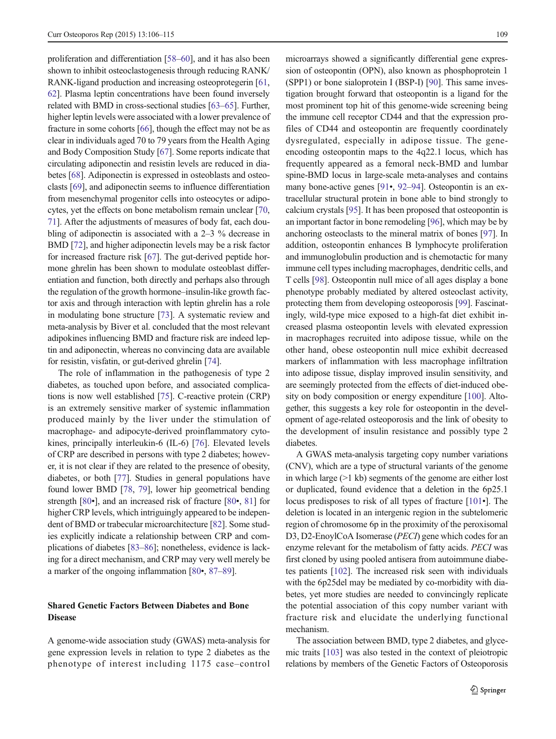proliferation and differentiation [\[58](#page-7-0)–[60\]](#page-7-0), and it has also been shown to inhibit osteoclastogenesis through reducing RANK/ RANK-ligand production and increasing osteoprotegerin [[61,](#page-7-0) [62\]](#page-7-0). Plasma leptin concentrations have been found inversely related with BMD in cross-sectional studies [\[63](#page-7-0)–[65\]](#page-7-0). Further, higher leptin levels were associated with a lower prevalence of fracture in some cohorts [\[66\]](#page-7-0), though the effect may not be as clear in individuals aged 70 to 79 years from the Health Aging and Body Composition Study [\[67](#page-7-0)]. Some reports indicate that circulating adiponectin and resistin levels are reduced in diabetes [\[68](#page-7-0)]. Adiponectin is expressed in osteoblasts and osteoclasts [[69\]](#page-8-0), and adiponectin seems to influence differentiation from mesenchymal progenitor cells into osteocytes or adipocytes, yet the effects on bone metabolism remain unclear [[70,](#page-8-0) [71\]](#page-8-0). After the adjustments of measures of body fat, each doubling of adiponectin is associated with a 2–3 % decrease in BMD [\[72\]](#page-8-0), and higher adiponectin levels may be a risk factor for increased fracture risk [[67\]](#page-7-0). The gut-derived peptide hormone ghrelin has been shown to modulate osteoblast differentiation and function, both directly and perhaps also through the regulation of the growth hormone–insulin-like growth factor axis and through interaction with leptin ghrelin has a role in modulating bone structure [\[73\]](#page-8-0). A systematic review and meta-analysis by Biver et al. concluded that the most relevant adipokines influencing BMD and fracture risk are indeed leptin and adiponectin, whereas no convincing data are available for resistin, visfatin, or gut-derived ghrelin [\[74\]](#page-8-0).

The role of inflammation in the pathogenesis of type 2 diabetes, as touched upon before, and associated complications is now well established [[75\]](#page-8-0). C-reactive protein (CRP) is an extremely sensitive marker of systemic inflammation produced mainly by the liver under the stimulation of macrophage- and adipocyte-derived proinflammatory cytokines, principally interleukin-6 (IL-6) [\[76\]](#page-8-0). Elevated levels of CRP are described in persons with type 2 diabetes; however, it is not clear if they are related to the presence of obesity, diabetes, or both [\[77](#page-8-0)]. Studies in general populations have found lower BMD [\[78,](#page-8-0) [79\]](#page-8-0), lower hip geometrical bending strength [\[80](#page-8-0)•], and an increased risk of fracture [\[80](#page-8-0)•, [81\]](#page-8-0) for higher CRP levels, which intriguingly appeared to be independent of BMD or trabecular microarchitecture [\[82\]](#page-8-0). Some studies explicitly indicate a relationship between CRP and complications of diabetes [[83](#page-8-0)–[86](#page-8-0)]; nonetheless, evidence is lacking for a direct mechanism, and CRP may very well merely be a marker of the ongoing inflammation [[80](#page-8-0)•, [87](#page-8-0)–[89](#page-8-0)].

# Shared Genetic Factors Between Diabetes and Bone Disease

A genome-wide association study (GWAS) meta-analysis for gene expression levels in relation to type 2 diabetes as the phenotype of interest including 1175 case–control microarrays showed a significantly differential gene expression of osteopontin (OPN), also known as phosphoprotein 1 (SPP1) or bone sialoprotein I (BSP-I) [\[90](#page-8-0)]. This same investigation brought forward that osteopontin is a ligand for the most prominent top hit of this genome-wide screening being the immune cell receptor CD44 and that the expression profiles of CD44 and osteopontin are frequently coordinately dysregulated, especially in adipose tissue. The geneencoding osteopontin maps to the 4q22.1 locus, which has frequently appeared as a femoral neck-BMD and lumbar spine-BMD locus in large-scale meta-analyses and contains many bone-active genes [[91](#page-8-0)•, [92](#page-8-0)–[94\]](#page-8-0). Osteopontin is an extracellular structural protein in bone able to bind strongly to calcium crystals [[95\]](#page-8-0). It has been proposed that osteopontin is an important factor in bone remodeling [\[96\]](#page-8-0), which may be by anchoring osteoclasts to the mineral matrix of bones [[97\]](#page-8-0). In addition, osteopontin enhances B lymphocyte proliferation and immunoglobulin production and is chemotactic for many immune cell types including macrophages, dendritic cells, and T cells [\[98](#page-8-0)]. Osteopontin null mice of all ages display a bone phenotype probably mediated by altered osteoclast activity, protecting them from developing osteoporosis [\[99\]](#page-8-0). Fascinatingly, wild-type mice exposed to a high-fat diet exhibit increased plasma osteopontin levels with elevated expression in macrophages recruited into adipose tissue, while on the other hand, obese osteopontin null mice exhibit decreased markers of inflammation with less macrophage infiltration into adipose tissue, display improved insulin sensitivity, and are seemingly protected from the effects of diet-induced obesity on body composition or energy expenditure [[100](#page-8-0)]. Altogether, this suggests a key role for osteopontin in the development of age-related osteoporosis and the link of obesity to the development of insulin resistance and possibly type 2 diabetes.

A GWAS meta-analysis targeting copy number variations (CNV), which are a type of structural variants of the genome in which large (>1 kb) segments of the genome are either lost or duplicated, found evidence that a deletion in the 6p25.1 locus predisposes to risk of all types of fracture [\[101](#page-8-0)•]. The deletion is located in an intergenic region in the subtelomeric region of chromosome 6p in the proximity of the peroxisomal D3, D2-EnoylCoA Isomerase (*PECI*) gene which codes for an enzyme relevant for the metabolism of fatty acids. PECI was first cloned by using pooled antisera from autoimmune diabetes patients [[102](#page-8-0)]. The increased risk seen with individuals with the 6p25del may be mediated by co-morbidity with diabetes, yet more studies are needed to convincingly replicate the potential association of this copy number variant with fracture risk and elucidate the underlying functional mechanism.

The association between BMD, type 2 diabetes, and glycemic traits [\[103](#page-9-0)] was also tested in the context of pleiotropic relations by members of the Genetic Factors of Osteoporosis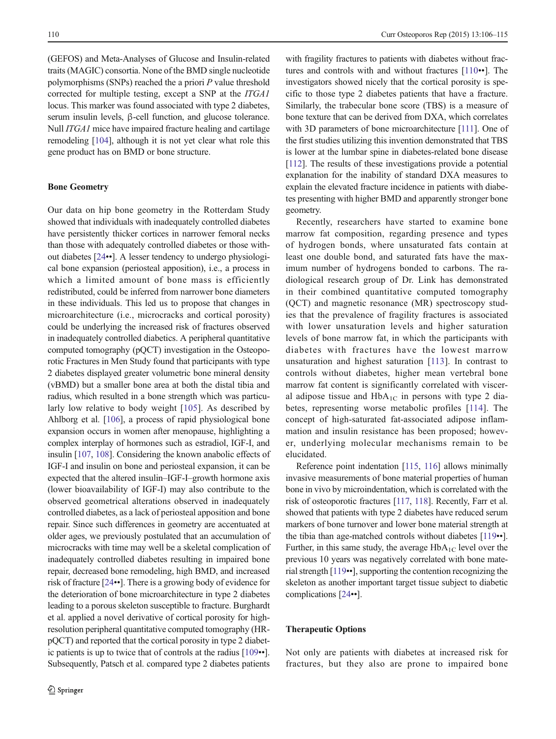(GEFOS) and Meta-Analyses of Glucose and Insulin-related traits (MAGIC) consortia. None of the BMD single nucleotide polymorphisms (SNPs) reached the a priori  $P$  value threshold corrected for multiple testing, except a SNP at the ITGA1 locus. This marker was found associated with type 2 diabetes, serum insulin levels, β-cell function, and glucose tolerance. Null *ITGA1* mice have impaired fracture healing and cartilage remodeling [[104](#page-9-0)], although it is not yet clear what role this gene product has on BMD or bone structure.

## Bone Geometry

Our data on hip bone geometry in the Rotterdam Study showed that individuals with inadequately controlled diabetes have persistently thicker cortices in narrower femoral necks than those with adequately controlled diabetes or those without diabetes [[24](#page-6-0)••]. A lesser tendency to undergo physiological bone expansion (periosteal apposition), i.e., a process in which a limited amount of bone mass is efficiently redistributed, could be inferred from narrower bone diameters in these individuals. This led us to propose that changes in microarchitecture (i.e., microcracks and cortical porosity) could be underlying the increased risk of fractures observed in inadequately controlled diabetics. A peripheral quantitative computed tomography (pQCT) investigation in the Osteoporotic Fractures in Men Study found that participants with type 2 diabetes displayed greater volumetric bone mineral density (vBMD) but a smaller bone area at both the distal tibia and radius, which resulted in a bone strength which was particularly low relative to body weight [[105\]](#page-9-0). As described by Ahlborg et al. [[106\]](#page-9-0), a process of rapid physiological bone expansion occurs in women after menopause, highlighting a complex interplay of hormones such as estradiol, IGF-I, and insulin [[107,](#page-9-0) [108](#page-9-0)]. Considering the known anabolic effects of IGF-I and insulin on bone and periosteal expansion, it can be expected that the altered insulin–IGF-I–growth hormone axis (lower bioavailability of IGF-I) may also contribute to the observed geometrical alterations observed in inadequately controlled diabetes, as a lack of periosteal apposition and bone repair. Since such differences in geometry are accentuated at older ages, we previously postulated that an accumulation of microcracks with time may well be a skeletal complication of inadequately controlled diabetes resulting in impaired bone repair, decreased bone remodeling, high BMD, and increased risk of fracture [\[24](#page-6-0)••]. There is a growing body of evidence for the deterioration of bone microarchitecture in type 2 diabetes leading to a porous skeleton susceptible to fracture. Burghardt et al. applied a novel derivative of cortical porosity for highresolution peripheral quantitative computed tomography (HRpQCT) and reported that the cortical porosity in type 2 diabetic patients is up to twice that of controls at the radius [\[109](#page-9-0)••]. Subsequently, Patsch et al. compared type 2 diabetes patients

with fragility fractures to patients with diabetes without fractures and controls with and without fractures [[110](#page-9-0)••]. The investigators showed nicely that the cortical porosity is specific to those type 2 diabetes patients that have a fracture. Similarly, the trabecular bone score (TBS) is a measure of bone texture that can be derived from DXA, which correlates with 3D parameters of bone microarchitecture [\[111](#page-9-0)]. One of the first studies utilizing this invention demonstrated that TBS is lower at the lumbar spine in diabetes-related bone disease [\[112\]](#page-9-0). The results of these investigations provide a potential explanation for the inability of standard DXA measures to explain the elevated fracture incidence in patients with diabetes presenting with higher BMD and apparently stronger bone geometry.

Recently, researchers have started to examine bone marrow fat composition, regarding presence and types of hydrogen bonds, where unsaturated fats contain at least one double bond, and saturated fats have the maximum number of hydrogens bonded to carbons. The radiological research group of Dr. Link has demonstrated in their combined quantitative computed tomography (QCT) and magnetic resonance (MR) spectroscopy studies that the prevalence of fragility fractures is associated with lower unsaturation levels and higher saturation levels of bone marrow fat, in which the participants with diabetes with fractures have the lowest marrow unsaturation and highest saturation [[113\]](#page-9-0). In contrast to controls without diabetes, higher mean vertebral bone marrow fat content is significantly correlated with visceral adipose tissue and  $HbA_{1C}$  in persons with type 2 diabetes, representing worse metabolic profiles [[114\]](#page-9-0). The concept of high-saturated fat-associated adipose inflammation and insulin resistance has been proposed; however, underlying molecular mechanisms remain to be elucidated.

Reference point indentation [\[115](#page-9-0), [116\]](#page-9-0) allows minimally invasive measurements of bone material properties of human bone in vivo by microindentation, which is correlated with the risk of osteoporotic fractures [[117,](#page-9-0) [118\]](#page-9-0). Recently, Farr et al. showed that patients with type 2 diabetes have reduced serum markers of bone turnover and lower bone material strength at the tibia than age-matched controls without diabetes [[119](#page-9-0)••]. Further, in this same study, the average  $HbA_{1C}$  level over the previous 10 years was negatively correlated with bone material strength [[119](#page-9-0)••], supporting the contention recognizing the skeleton as another important target tissue subject to diabetic complications [\[24](#page-6-0)••].

#### Therapeutic Options

Not only are patients with diabetes at increased risk for fractures, but they also are prone to impaired bone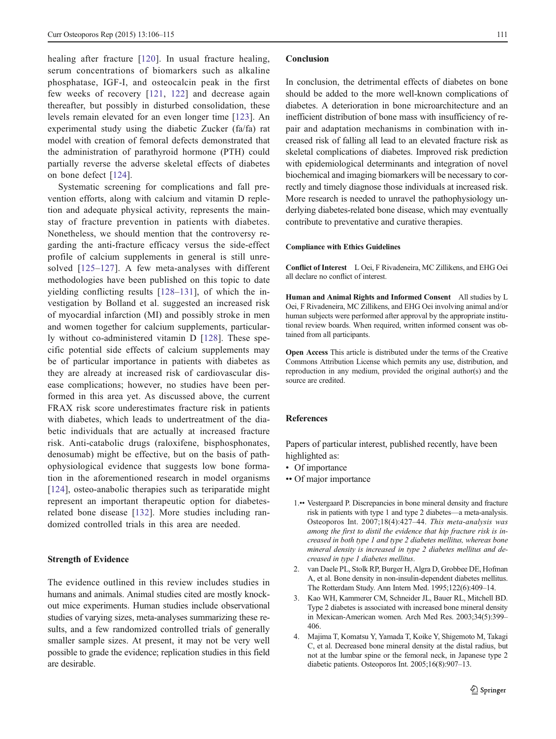<span id="page-5-0"></span>healing after fracture [\[120\]](#page-9-0). In usual fracture healing, serum concentrations of biomarkers such as alkaline phosphatase, IGF-I, and osteocalcin peak in the first few weeks of recovery [[121](#page-9-0), [122](#page-9-0)] and decrease again thereafter, but possibly in disturbed consolidation, these levels remain elevated for an even longer time [\[123](#page-9-0)]. An experimental study using the diabetic Zucker (fa/fa) rat model with creation of femoral defects demonstrated that the administration of parathyroid hormone (PTH) could partially reverse the adverse skeletal effects of diabetes on bone defect [[124](#page-9-0)].

Systematic screening for complications and fall prevention efforts, along with calcium and vitamin D repletion and adequate physical activity, represents the mainstay of fracture prevention in patients with diabetes. Nonetheless, we should mention that the controversy regarding the anti-fracture efficacy versus the side-effect profile of calcium supplements in general is still unresolved [[125](#page-9-0)–[127\]](#page-9-0). A few meta-analyses with different methodologies have been published on this topic to date yielding conflicting results [[128](#page-9-0)–[131\]](#page-9-0), of which the investigation by Bolland et al. suggested an increased risk of myocardial infarction (MI) and possibly stroke in men and women together for calcium supplements, particularly without co-administered vitamin D [\[128\]](#page-9-0). These specific potential side effects of calcium supplements may be of particular importance in patients with diabetes as they are already at increased risk of cardiovascular disease complications; however, no studies have been performed in this area yet. As discussed above, the current FRAX risk score underestimates fracture risk in patients with diabetes, which leads to undertreatment of the diabetic individuals that are actually at increased fracture risk. Anti-catabolic drugs (raloxifene, bisphosphonates, denosumab) might be effective, but on the basis of pathophysiological evidence that suggests low bone formation in the aforementioned research in model organisms [\[124\]](#page-9-0), osteo-anabolic therapies such as teriparatide might represent an important therapeutic option for diabetesrelated bone disease [[132](#page-9-0)]. More studies including randomized controlled trials in this area are needed.

## Strength of Evidence

The evidence outlined in this review includes studies in humans and animals. Animal studies cited are mostly knockout mice experiments. Human studies include observational studies of varying sizes, meta-analyses summarizing these results, and a few randomized controlled trials of generally smaller sample sizes. At present, it may not be very well possible to grade the evidence; replication studies in this field are desirable.

#### Conclusion

In conclusion, the detrimental effects of diabetes on bone should be added to the more well-known complications of diabetes. A deterioration in bone microarchitecture and an inefficient distribution of bone mass with insufficiency of repair and adaptation mechanisms in combination with increased risk of falling all lead to an elevated fracture risk as skeletal complications of diabetes. Improved risk prediction with epidemiological determinants and integration of novel biochemical and imaging biomarkers will be necessary to correctly and timely diagnose those individuals at increased risk. More research is needed to unravel the pathophysiology underlying diabetes-related bone disease, which may eventually contribute to preventative and curative therapies.

#### Compliance with Ethics Guidelines

Conflict of Interest L Oei, F Rivadeneira, MC Zillikens, and EHG Oei all declare no conflict of interest.

Human and Animal Rights and Informed Consent All studies by L Oei, F Rivadeneira, MC Zillikens, and EHG Oei involving animal and/or human subjects were performed after approval by the appropriate institutional review boards. When required, written informed consent was obtained from all participants.

Open Access This article is distributed under the terms of the Creative Commons Attribution License which permits any use, distribution, and reproduction in any medium, provided the original author(s) and the source are credited.

#### References

Papers of particular interest, published recently, have been highlighted as:

- Of importance
- •• Of major importance
	- 1.•• Vestergaard P. Discrepancies in bone mineral density and fracture risk in patients with type 1 and type 2 diabetes—a meta-analysis. Osteoporos Int. 2007;18(4):427–44. This meta-analysis was among the first to distil the evidence that hip fracture risk is increased in both type 1 and type 2 diabetes mellitus, whereas bone mineral density is increased in type 2 diabetes mellitus and decreased in type 1 diabetes mellitus.
	- 2. van Daele PL, Stolk RP, Burger H, Algra D, Grobbee DE, Hofman A, et al. Bone density in non-insulin-dependent diabetes mellitus. The Rotterdam Study. Ann Intern Med. 1995;122(6):409–14.
	- 3. Kao WH, Kammerer CM, Schneider JL, Bauer RL, Mitchell BD. Type 2 diabetes is associated with increased bone mineral density in Mexican-American women. Arch Med Res. 2003;34(5):399– 406.
	- 4. Majima T, Komatsu Y, Yamada T, Koike Y, Shigemoto M, Takagi C, et al. Decreased bone mineral density at the distal radius, but not at the lumbar spine or the femoral neck, in Japanese type 2 diabetic patients. Osteoporos Int. 2005;16(8):907–13.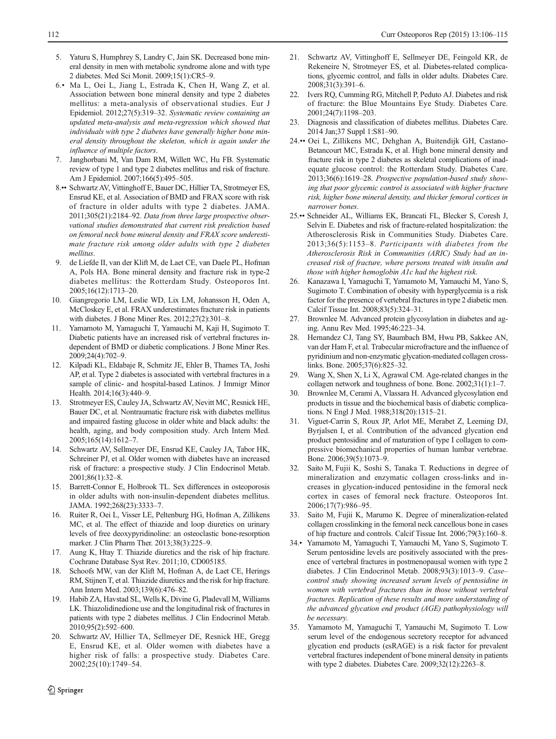- <span id="page-6-0"></span>5. Yaturu S, Humphrey S, Landry C, Jain SK. Decreased bone mineral density in men with metabolic syndrome alone and with type 2 diabetes. Med Sci Monit. 2009;15(1):CR5–9.
- 6.• Ma L, Oei L, Jiang L, Estrada K, Chen H, Wang Z, et al. Association between bone mineral density and type 2 diabetes mellitus: a meta-analysis of observational studies. Eur J Epidemiol. 2012;27(5):319–32. Systematic review containing an updated meta-analysis and meta-regression which showed that individuals with type 2 diabetes have generally higher bone mineral density throughout the skeleton, which is again under the influence of multiple factors.
- 7. Janghorbani M, Van Dam RM, Willett WC, Hu FB. Systematic review of type 1 and type 2 diabetes mellitus and risk of fracture. Am J Epidemiol. 2007;166(5):495–505.
- 8.•• Schwartz AV, Vittinghoff E, Bauer DC, Hillier TA, Strotmeyer ES, Ensrud KE, et al. Association of BMD and FRAX score with risk of fracture in older adults with type 2 diabetes. JAMA. 2011;305(21):2184–92. Data from three large prospective observational studies demonstrated that current risk prediction based on femoral neck bone mineral density and FRAX score underestimate fracture risk among older adults with type 2 diabetes mellitus.
- 9. de Liefde II, van der Klift M, de Laet CE, van Daele PL, Hofman A, Pols HA. Bone mineral density and fracture risk in type-2 diabetes mellitus: the Rotterdam Study. Osteoporos Int. 2005;16(12):1713–20.
- 10. Giangregorio LM, Leslie WD, Lix LM, Johansson H, Oden A, McCloskey E, et al. FRAX underestimates fracture risk in patients with diabetes. J Bone Miner Res. 2012;27(2):301–8.
- 11. Yamamoto M, Yamaguchi T, Yamauchi M, Kaji H, Sugimoto T. Diabetic patients have an increased risk of vertebral fractures independent of BMD or diabetic complications. J Bone Miner Res. 2009;24(4):702–9.
- 12. Kilpadi KL, Eldabaje R, Schmitz JE, Ehler B, Thames TA, Joshi AP, et al. Type 2 diabetes is associated with vertebral fractures in a sample of clinic- and hospital-based Latinos. J Immigr Minor Health. 2014;16(3):440-9.
- 13. Strotmeyer ES, Cauley JA, Schwartz AV, Nevitt MC, Resnick HE, Bauer DC, et al. Nontraumatic fracture risk with diabetes mellitus and impaired fasting glucose in older white and black adults: the health, aging, and body composition study. Arch Intern Med. 2005;165(14):1612–7.
- 14. Schwartz AV, Sellmeyer DE, Ensrud KE, Cauley JA, Tabor HK, Schreiner PJ, et al. Older women with diabetes have an increased risk of fracture: a prospective study. J Clin Endocrinol Metab. 2001;86(1):32–8.
- 15. Barrett-Connor E, Holbrook TL. Sex differences in osteoporosis in older adults with non-insulin-dependent diabetes mellitus. JAMA. 1992;268(23):3333–7.
- 16. Ruiter R, Oei L, Visser LE, Peltenburg HG, Hofman A, Zillikens MC, et al. The effect of thiazide and loop diuretics on urinary levels of free deoxypyridinoline: an osteoclastic bone-resorption marker. J Clin Pharm Ther. 2013;38(3):225–9.
- 17. Aung K, Htay T. Thiazide diuretics and the risk of hip fracture. Cochrane Database Syst Rev. 2011;10, CD005185.
- 18. Schoofs MW, van der Klift M, Hofman A, de Laet CE, Herings RM, Stijnen T, et al. Thiazide diuretics and the risk for hip fracture. Ann Intern Med. 2003;139(6):476–82.
- 19. Habib ZA, Havstad SL, Wells K, Divine G, Pladevall M, Williams LK. Thiazolidinedione use and the longitudinal risk of fractures in patients with type 2 diabetes mellitus. J Clin Endocrinol Metab. 2010;95(2):592–600.
- 20. Schwartz AV, Hillier TA, Sellmeyer DE, Resnick HE, Gregg E, Ensrud KE, et al. Older women with diabetes have a higher risk of falls: a prospective study. Diabetes Care. 2002;25(10):1749–54.
- 21. Schwartz AV, Vittinghoff E, Sellmeyer DE, Feingold KR, de Rekeneire N, Strotmeyer ES, et al. Diabetes-related complications, glycemic control, and falls in older adults. Diabetes Care. 2008;31(3):391–6.
- 22. Ivers RQ, Cumming RG, Mitchell P, Peduto AJ. Diabetes and risk of fracture: the Blue Mountains Eye Study. Diabetes Care. 2001;24(7):1198–203.
- 23. Diagnosis and classification of diabetes mellitus. Diabetes Care. 2014 Jan;37 Suppl 1:S81–90.
- 24.•• Oei L, Zillikens MC, Dehghan A, Buitendijk GH, Castano-Betancourt MC, Estrada K, et al. High bone mineral density and fracture risk in type 2 diabetes as skeletal complications of inadequate glucose control: the Rotterdam Study. Diabetes Care. 2013;36(6):1619–28. Prospective population-based study showing that poor glycemic control is associated with higher fracture risk, higher bone mineral density, and thicker femoral cortices in narrower bones.
- 25.•• Schneider AL, Williams EK, Brancati FL, Blecker S, Coresh J, Selvin E. Diabetes and risk of fracture-related hospitalization: the Atherosclerosis Risk in Communities Study. Diabetes Care. 2013;36(5):1153–8. Participants with diabetes from the Atherosclerosis Risk in Communities (ARIC) Study had an increased risk of fracture, where persons treated with insulin and those with higher hemoglobin A1c had the highest risk.
- 26. Kanazawa I, Yamaguchi T, Yamamoto M, Yamauchi M, Yano S, Sugimoto T. Combination of obesity with hyperglycemia is a risk factor for the presence of vertebral fractures in type 2 diabetic men. Calcif Tissue Int. 2008;83(5):324–31.
- 27. Brownlee M. Advanced protein glycosylation in diabetes and aging. Annu Rev Med. 1995;46:223–34.
- 28. Hernandez CJ, Tang SY, Baumbach BM, Hwu PB, Sakkee AN, van der Ham F, et al. Trabecular microfracture and the influence of pyridinium and non-enzymatic glycation-mediated collagen crosslinks. Bone. 2005;37(6):825–32.
- 29. Wang X, Shen X, Li X, Agrawal CM. Age-related changes in the collagen network and toughness of bone. Bone. 2002;31(1):1–7.
- 30. Brownlee M, Cerami A, Vlassara H. Advanced glycosylation end products in tissue and the biochemical basis of diabetic complications. N Engl J Med. 1988;318(20):1315–21.
- 31. Viguet-Carrin S, Roux JP, Arlot ME, Merabet Z, Leeming DJ, Byrjalsen I, et al. Contribution of the advanced glycation end product pentosidine and of maturation of type I collagen to compressive biomechanical properties of human lumbar vertebrae. Bone. 2006;39(5):1073–9.
- 32. Saito M, Fujii K, Soshi S, Tanaka T. Reductions in degree of mineralization and enzymatic collagen cross-links and increases in glycation-induced pentosidine in the femoral neck cortex in cases of femoral neck fracture. Osteoporos Int. 2006;17(7):986–95.
- 33. Saito M, Fujii K, Marumo K. Degree of mineralization-related collagen crosslinking in the femoral neck cancellous bone in cases of hip fracture and controls. Calcif Tissue Int. 2006;79(3):160–8.
- 34.• Yamamoto M, Yamaguchi T, Yamauchi M, Yano S, Sugimoto T. Serum pentosidine levels are positively associated with the presence of vertebral fractures in postmenopausal women with type 2 diabetes. J Clin Endocrinol Metab. 2008;93(3):1013–9. Case– control study showing increased serum levels of pentosidine in women with vertebral fractures than in those without vertebral fractures. Replication of these results and more understanding of the advanced glycation end product (AGE) pathophysiology will be necessary.
- 35. Yamamoto M, Yamaguchi T, Yamauchi M, Sugimoto T. Low serum level of the endogenous secretory receptor for advanced glycation end products (esRAGE) is a risk factor for prevalent vertebral fractures independent of bone mineral density in patients with type 2 diabetes. Diabetes Care. 2009;32(12):2263–8.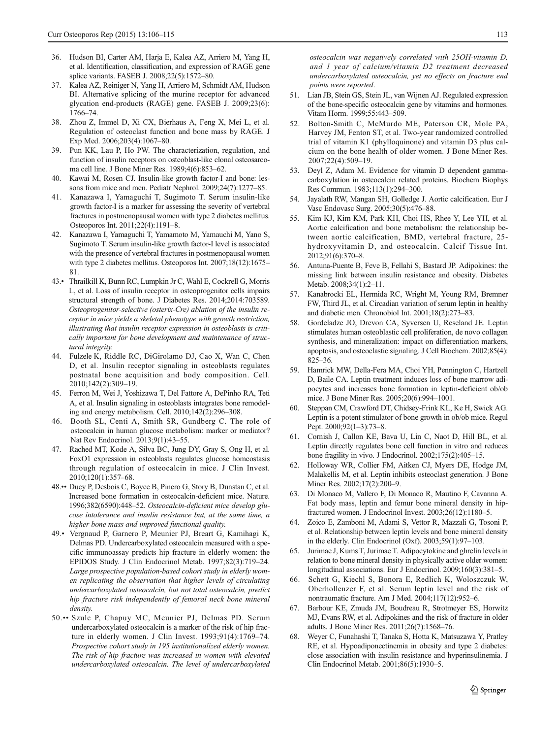- <span id="page-7-0"></span>36. Hudson BI, Carter AM, Harja E, Kalea AZ, Arriero M, Yang H, et al. Identification, classification, and expression of RAGE gene splice variants. FASEB J. 2008;22(5):1572–80.
- 37. Kalea AZ, Reiniger N, Yang H, Arriero M, Schmidt AM, Hudson BI. Alternative splicing of the murine receptor for advanced glycation end-products (RAGE) gene. FASEB J. 2009;23(6): 1766–74.
- 38. Zhou Z, Immel D, Xi CX, Bierhaus A, Feng X, Mei L, et al. Regulation of osteoclast function and bone mass by RAGE. J Exp Med. 2006;203(4):1067–80.
- 39. Pun KK, Lau P, Ho PW. The characterization, regulation, and function of insulin receptors on osteoblast-like clonal osteosarcoma cell line. J Bone Miner Res. 1989;4(6):853–62.
- 40. Kawai M, Rosen CJ. Insulin-like growth factor-I and bone: lessons from mice and men. Pediatr Nephrol. 2009;24(7):1277–85.
- 41. Kanazawa I, Yamaguchi T, Sugimoto T. Serum insulin-like growth factor-I is a marker for assessing the severity of vertebral fractures in postmenopausal women with type 2 diabetes mellitus. Osteoporos Int. 2011;22(4):1191–8.
- 42. Kanazawa I, Yamaguchi T, Yamamoto M, Yamauchi M, Yano S, Sugimoto T. Serum insulin-like growth factor-I level is associated with the presence of vertebral fractures in postmenopausal women with type 2 diabetes mellitus. Osteoporos Int. 2007;18(12):1675– 81.
- 43.• Thrailkill K, Bunn RC, Lumpkin Jr C, Wahl E, Cockrell G, Morris L, et al. Loss of insulin receptor in osteoprogenitor cells impairs structural strength of bone. J Diabetes Res. 2014;2014:703589. Osteoprogenitor-selective (osterix-Cre) ablation of the insulin receptor in mice yields a skeletal phenotype with growth restriction, illustrating that insulin receptor expression in osteoblasts is critically important for bone development and maintenance of structural integrity.
- 44. Fulzele K, Riddle RC, DiGirolamo DJ, Cao X, Wan C, Chen D, et al. Insulin receptor signaling in osteoblasts regulates postnatal bone acquisition and body composition. Cell. 2010;142(2):309–19.
- 45. Ferron M, Wei J, Yoshizawa T, Del Fattore A, DePinho RA, Teti A, et al. Insulin signaling in osteoblasts integrates bone remodeling and energy metabolism. Cell. 2010;142(2):296–308.
- 46. Booth SL, Centi A, Smith SR, Gundberg C. The role of osteocalcin in human glucose metabolism: marker or mediator? Nat Rev Endocrinol. 2013;9(1):43–55.
- 47. Rached MT, Kode A, Silva BC, Jung DY, Gray S, Ong H, et al. FoxO1 expression in osteoblasts regulates glucose homeostasis through regulation of osteocalcin in mice. J Clin Invest. 2010;120(1):357–68.
- 48.•• Ducy P, Desbois C, Boyce B, Pinero G, Story B, Dunstan C, et al. Increased bone formation in osteocalcin-deficient mice. Nature. 1996;382(6590):448–52. Osteocalcin-deficient mice develop glucose intolerance and insulin resistance but, at the same time, a higher bone mass and improved functional quality.
- 49.• Vergnaud P, Garnero P, Meunier PJ, Breart G, Kamihagi K, Delmas PD. Undercarboxylated osteocalcin measured with a specific immunoassay predicts hip fracture in elderly women: the EPIDOS Study. J Clin Endocrinol Metab. 1997;82(3):719–24. Large prospective population-based cohort study in elderly women replicating the observation that higher levels of circulating undercarboxylated osteocalcin, but not total osteocalcin, predict hip fracture risk independently of femoral neck bone mineral density.
- 50.•• Szulc P, Chapuy MC, Meunier PJ, Delmas PD. Serum undercarboxylated osteocalcin is a marker of the risk of hip fracture in elderly women. J Clin Invest. 1993;91(4):1769–74. Prospective cohort study in 195 institutionalized elderly women. The risk of hip fracture was increased in women with elevated undercarboxylated osteocalcin. The level of undercarboxylated

osteocalcin was negatively correlated with 25OH-vitamin D, and 1 year of calcium/vitamin D2 treatment decreased undercarboxylated osteocalcin, yet no effects on fracture end points were reported.

- 51. Lian JB, Stein GS, Stein JL, van Wijnen AJ. Regulated expression of the bone-specific osteocalcin gene by vitamins and hormones. Vitam Horm. 1999;55:443–509.
- 52. Bolton-Smith C, McMurdo ME, Paterson CR, Mole PA, Harvey JM, Fenton ST, et al. Two-year randomized controlled trial of vitamin K1 (phylloquinone) and vitamin D3 plus calcium on the bone health of older women. J Bone Miner Res.  $2007:22(4):509-19$ .
- 53. Deyl Z, Adam M. Evidence for vitamin D dependent gammacarboxylation in osteocalcin related proteins. Biochem Biophys Res Commun. 1983;113(1):294–300.
- 54. Jayalath RW, Mangan SH, Golledge J. Aortic calcification. Eur J Vasc Endovasc Surg. 2005;30(5):476–88.
- 55. Kim KJ, Kim KM, Park KH, Choi HS, Rhee Y, Lee YH, et al. Aortic calcification and bone metabolism: the relationship between aortic calcification, BMD, vertebral fracture, 25 hydroxyvitamin D, and osteocalcin. Calcif Tissue Int. 2012;91(6):370–8.
- 56. Antuna-Puente B, Feve B, Fellahi S, Bastard JP. Adipokines: the missing link between insulin resistance and obesity. Diabetes Metab. 2008;34(1):2–11.
- 57. Kanabrocki EL, Hermida RC, Wright M, Young RM, Bremner FW, Third JL, et al. Circadian variation of serum leptin in healthy and diabetic men. Chronobiol Int. 2001;18(2):273–83.
- 58. Gordeladze JO, Drevon CA, Syversen U, Reseland JE. Leptin stimulates human osteoblastic cell proliferation, de novo collagen synthesis, and mineralization: impact on differentiation markers, apoptosis, and osteoclastic signaling. J Cell Biochem. 2002;85(4): 825–36.
- 59. Hamrick MW, Della-Fera MA, Choi YH, Pennington C, Hartzell D, Baile CA. Leptin treatment induces loss of bone marrow adipocytes and increases bone formation in leptin-deficient ob/ob mice. J Bone Miner Res. 2005;20(6):994–1001.
- 60. Steppan CM, Crawford DT, Chidsey-Frink KL, Ke H, Swick AG. Leptin is a potent stimulator of bone growth in ob/ob mice. Regul Pept. 2000;92(1–3):73–8.
- 61. Cornish J, Callon KE, Bava U, Lin C, Naot D, Hill BL, et al. Leptin directly regulates bone cell function in vitro and reduces bone fragility in vivo. J Endocrinol. 2002;175(2):405–15.
- 62. Holloway WR, Collier FM, Aitken CJ, Myers DE, Hodge JM, Malakellis M, et al. Leptin inhibits osteoclast generation. J Bone Miner Res. 2002;17(2):200–9.
- 63. Di Monaco M, Vallero F, Di Monaco R, Mautino F, Cavanna A. Fat body mass, leptin and femur bone mineral density in hipfractured women. J Endocrinol Invest. 2003;26(12):1180–5.
- 64. Zoico E, Zamboni M, Adami S, Vettor R, Mazzali G, Tosoni P, et al. Relationship between leptin levels and bone mineral density in the elderly. Clin Endocrinol (Oxf). 2003;59(1):97–103.
- 65. Jurimae J, Kums T, Jurimae T. Adipocytokine and ghrelin levels in relation to bone mineral density in physically active older women: longitudinal associations. Eur J Endocrinol. 2009;160(3):381–5.
- 66. Schett G, Kiechl S, Bonora E, Redlich K, Woloszczuk W, Oberhollenzer F, et al. Serum leptin level and the risk of nontraumatic fracture. Am J Med. 2004;117(12):952–6.
- 67. Barbour KE, Zmuda JM, Boudreau R, Strotmeyer ES, Horwitz MJ, Evans RW, et al. Adipokines and the risk of fracture in older adults. J Bone Miner Res. 2011;26(7):1568–76.
- 68. Weyer C, Funahashi T, Tanaka S, Hotta K, Matsuzawa Y, Pratley RE, et al. Hypoadiponectinemia in obesity and type 2 diabetes: close association with insulin resistance and hyperinsulinemia. J Clin Endocrinol Metab. 2001;86(5):1930–5.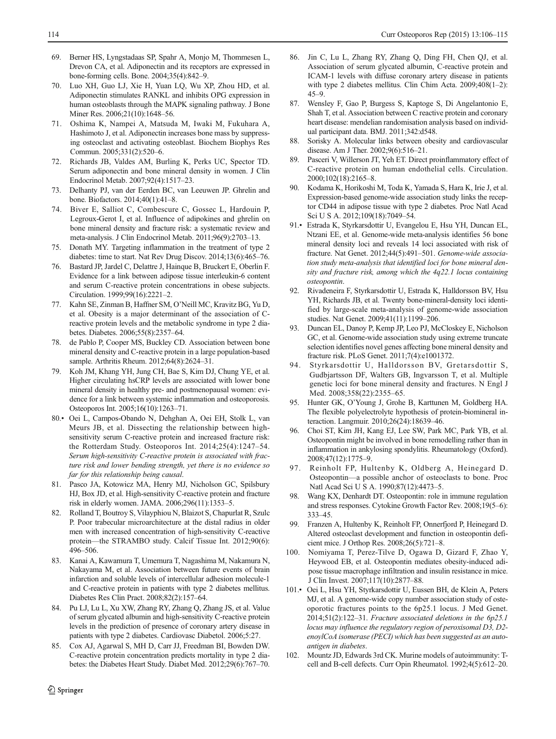- <span id="page-8-0"></span>69. Berner HS, Lyngstadaas SP, Spahr A, Monjo M, Thommesen L, Drevon CA, et al. Adiponectin and its receptors are expressed in bone-forming cells. Bone. 2004;35(4):842–9.
- 70. Luo XH, Guo LJ, Xie H, Yuan LQ, Wu XP, Zhou HD, et al. Adiponectin stimulates RANKL and inhibits OPG expression in human osteoblasts through the MAPK signaling pathway. J Bone Miner Res. 2006;21(10):1648–56.
- 71. Oshima K, Nampei A, Matsuda M, Iwaki M, Fukuhara A, Hashimoto J, et al. Adiponectin increases bone mass by suppressing osteoclast and activating osteoblast. Biochem Biophys Res Commun. 2005;331(2):520–6.
- 72. Richards JB, Valdes AM, Burling K, Perks UC, Spector TD. Serum adiponectin and bone mineral density in women. J Clin Endocrinol Metab. 2007;92(4):1517–23.
- 73. Delhanty PJ, van der Eerden BC, van Leeuwen JP. Ghrelin and bone. Biofactors. 2014;40(1):41–8.
- 74. Biver E, Salliot C, Combescure C, Gossec L, Hardouin P, Legroux-Gerot I, et al. Influence of adipokines and ghrelin on bone mineral density and fracture risk: a systematic review and meta-analysis. J Clin Endocrinol Metab. 2011;96(9):2703–13.
- 75. Donath MY. Targeting inflammation in the treatment of type 2 diabetes: time to start. Nat Rev Drug Discov. 2014;13(6):465–76.
- 76. Bastard JP, Jardel C, Delattre J, Hainque B, Bruckert E, Oberlin F. Evidence for a link between adipose tissue interleukin-6 content and serum C-reactive protein concentrations in obese subjects. Circulation. 1999;99(16):2221–2.
- 77. Kahn SE, Zinman B, Haffner SM, O'Neill MC, Kravitz BG, Yu D, et al. Obesity is a major determinant of the association of Creactive protein levels and the metabolic syndrome in type 2 diabetes. Diabetes. 2006;55(8):2357–64.
- 78. de Pablo P, Cooper MS, Buckley CD. Association between bone mineral density and C-reactive protein in a large population-based sample. Arthritis Rheum. 2012;64(8):2624–31.
- 79. Koh JM, Khang YH, Jung CH, Bae S, Kim DJ, Chung YE, et al. Higher circulating hsCRP levels are associated with lower bone mineral density in healthy pre- and postmenopausal women: evidence for a link between systemic inflammation and osteoporosis. Osteoporos Int. 2005;16(10):1263–71.
- 80.• Oei L, Campos-Obando N, Dehghan A, Oei EH, Stolk L, van Meurs JB, et al. Dissecting the relationship between highsensitivity serum C-reactive protein and increased fracture risk: the Rotterdam Study. Osteoporos Int. 2014;25(4):1247–54. Serum high-sensitivity C-reactive protein is associated with fracture risk and lower bending strength, yet there is no evidence so far for this relationship being causal.
- 81. Pasco JA, Kotowicz MA, Henry MJ, Nicholson GC, Spilsbury HJ, Box JD, et al. High-sensitivity C-reactive protein and fracture risk in elderly women. JAMA. 2006;296(11):1353–5.
- 82. Rolland T, Boutroy S, Vilayphiou N, Blaizot S, Chapurlat R, Szulc P. Poor trabecular microarchitecture at the distal radius in older men with increased concentration of high-sensitivity C-reactive protein—the STRAMBO study. Calcif Tissue Int. 2012;90(6): 496–506.
- 83. Kanai A, Kawamura T, Umemura T, Nagashima M, Nakamura N, Nakayama M, et al. Association between future events of brain infarction and soluble levels of intercellular adhesion molecule-1 and C-reactive protein in patients with type 2 diabetes mellitus. Diabetes Res Clin Pract. 2008;82(2):157–64.
- 84. Pu LJ, Lu L, Xu XW, Zhang RY, Zhang Q, Zhang JS, et al. Value of serum glycated albumin and high-sensitivity C-reactive protein levels in the prediction of presence of coronary artery disease in patients with type 2 diabetes. Cardiovasc Diabetol. 2006;5:27.
- 85. Cox AJ, Agarwal S, MH D, Carr JJ, Freedman BI, Bowden DW. C-reactive protein concentration predicts mortality in type 2 diabetes: the Diabetes Heart Study. Diabet Med. 2012;29(6):767–70.
- 86. Jin C, Lu L, Zhang RY, Zhang Q, Ding FH, Chen QJ, et al. Association of serum glycated albumin, C-reactive protein and ICAM-1 levels with diffuse coronary artery disease in patients with type 2 diabetes mellitus. Clin Chim Acta. 2009;408(1–2): 45–9.
- 87. Wensley F, Gao P, Burgess S, Kaptoge S, Di Angelantonio E, Shah T, et al. Association between C reactive protein and coronary heart disease: mendelian randomisation analysis based on individual participant data. BMJ. 2011;342:d548.
- 88. Sorisky A. Molecular links between obesity and cardiovascular disease. Am J Ther. 2002;9(6):516–21.
- 89. Pasceri V, Willerson JT, Yeh ET. Direct proinflammatory effect of C-reactive protein on human endothelial cells. Circulation. 2000;102(18):2165–8.
- 90. Kodama K, Horikoshi M, Toda K, Yamada S, Hara K, Irie J, et al. Expression-based genome-wide association study links the receptor CD44 in adipose tissue with type 2 diabetes. Proc Natl Acad Sci U S A. 2012;109(18):7049–54.
- 91.• Estrada K, Styrkarsdottir U, Evangelou E, Hsu YH, Duncan EL, Ntzani EE, et al. Genome-wide meta-analysis identifies 56 bone mineral density loci and reveals 14 loci associated with risk of fracture. Nat Genet. 2012;44(5):491–501. Genome-wide association study meta-analysis that identified loci for bone mineral density and fracture risk, among which the 4q22.1 locus containing osteopontin.
- 92. Rivadeneira F, Styrkarsdottir U, Estrada K, Halldorsson BV, Hsu YH, Richards JB, et al. Twenty bone-mineral-density loci identified by large-scale meta-analysis of genome-wide association studies. Nat Genet. 2009;41(11):1199–206.
- 93. Duncan EL, Danoy P, Kemp JP, Leo PJ, McCloskey E, Nicholson GC, et al. Genome-wide association study using extreme truncate selection identifies novel genes affecting bone mineral density and fracture risk. PLoS Genet. 2011;7(4):e1001372.
- 94. Styrkarsdottir U, Halldorsson BV, Gretarsdottir S, Gudbjartsson DF, Walters GB, Ingvarsson T, et al. Multiple genetic loci for bone mineral density and fractures. N Engl J Med. 2008;358(22):2355–65.
- 95. Hunter GK, O'Young J, Grohe B, Karttunen M, Goldberg HA. The flexible polyelectrolyte hypothesis of protein-biomineral interaction. Langmuir. 2010;26(24):18639–46.
- 96. Choi ST, Kim JH, Kang EJ, Lee SW, Park MC, Park YB, et al. Osteopontin might be involved in bone remodelling rather than in inflammation in ankylosing spondylitis. Rheumatology (Oxford). 2008;47(12):1775–9.
- 97. Reinholt FP, Hultenby K, Oldberg A, Heinegard D. Osteopontin—a possible anchor of osteoclasts to bone. Proc Natl Acad Sci U S A. 1990;87(12):4473–5.
- 98. Wang KX, Denhardt DT. Osteopontin: role in immune regulation and stress responses. Cytokine Growth Factor Rev. 2008;19(5–6): 333–45.
- 99. Franzen A, Hultenby K, Reinholt FP, Onnerfjord P, Heinegard D. Altered osteoclast development and function in osteopontin deficient mice. J Orthop Res. 2008;26(5):721–8.
- 100. Nomiyama T, Perez-Tilve D, Ogawa D, Gizard F, Zhao Y, Heywood EB, et al. Osteopontin mediates obesity-induced adipose tissue macrophage infiltration and insulin resistance in mice. J Clin Invest. 2007;117(10):2877–88.
- 101.• Oei L, Hsu YH, Styrkarsdottir U, Eussen BH, de Klein A, Peters MJ, et al. A genome-wide copy number association study of osteoporotic fractures points to the 6p25.1 locus. J Med Genet. 2014;51(2):122–31. Fracture associated deletions in the 6p25.1 locus may influence the regulatory region of peroxisomal D3, D2 enoylCoA isomerase (PECI) which has been suggested as an autoantigen in diabetes.
- 102. Mountz JD, Edwards 3rd CK. Murine models of autoimmunity: Tcell and B-cell defects. Curr Opin Rheumatol. 1992;4(5):612–20.